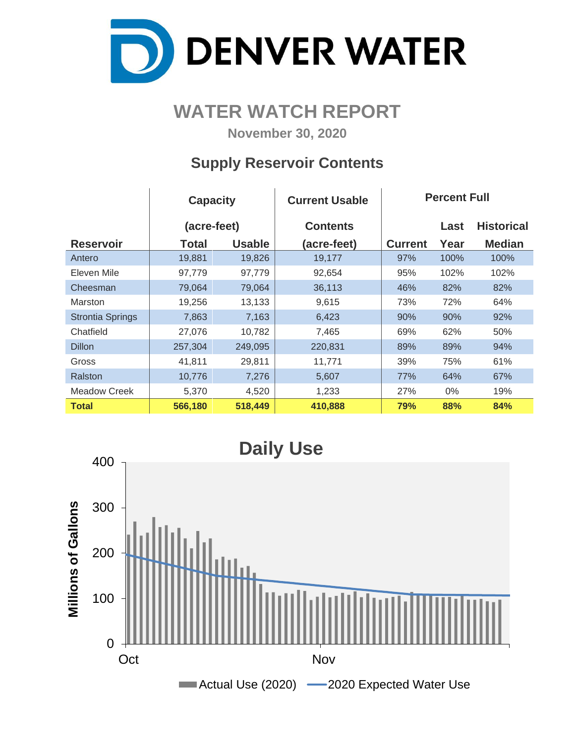

# **WATER WATCH REPORT**

**November 30, 2020**

## **Supply Reservoir Contents**

|                         | <b>Capacity</b> |               | <b>Current Usable</b> | <b>Percent Full</b> |      |                   |  |  |  |
|-------------------------|-----------------|---------------|-----------------------|---------------------|------|-------------------|--|--|--|
|                         | (acre-feet)     |               | <b>Contents</b>       |                     | Last | <b>Historical</b> |  |  |  |
| <b>Reservoir</b>        | Total           | <b>Usable</b> | (acre-feet)           | <b>Current</b>      | Year | <b>Median</b>     |  |  |  |
| Antero                  | 19,881          | 19,826        | 19,177                | 97%                 | 100% | 100%              |  |  |  |
| Eleven Mile             | 97,779          | 97,779        | 92,654                | 95%                 | 102% | 102%              |  |  |  |
| Cheesman                | 79,064          | 79,064        | 36,113                | 46%                 | 82%  | 82%               |  |  |  |
| Marston                 | 19,256          | 13,133        | 9,615                 | 73%                 | 72%  | 64%               |  |  |  |
| <b>Strontia Springs</b> | 7,863           | 7,163         | 6,423                 | 90%                 | 90%  | 92%               |  |  |  |
| Chatfield               | 27,076          | 10,782        | 7,465                 | 69%                 | 62%  | 50%               |  |  |  |
| <b>Dillon</b>           | 257,304         | 249,095       | 220,831               | 89%                 | 89%  | 94%               |  |  |  |
| Gross                   | 41,811          | 29,811        | 11,771                | 39%                 | 75%  | 61%               |  |  |  |
| Ralston                 | 10,776          | 7,276         | 5,607                 | 77%                 | 64%  | 67%               |  |  |  |
| Meadow Creek            | 5,370           | 4,520         | 1,233                 | 27%                 | 0%   | 19%               |  |  |  |
| <b>Total</b>            | 566,180         | 518,449       | 410,888               | 79%                 | 88%  | 84%               |  |  |  |

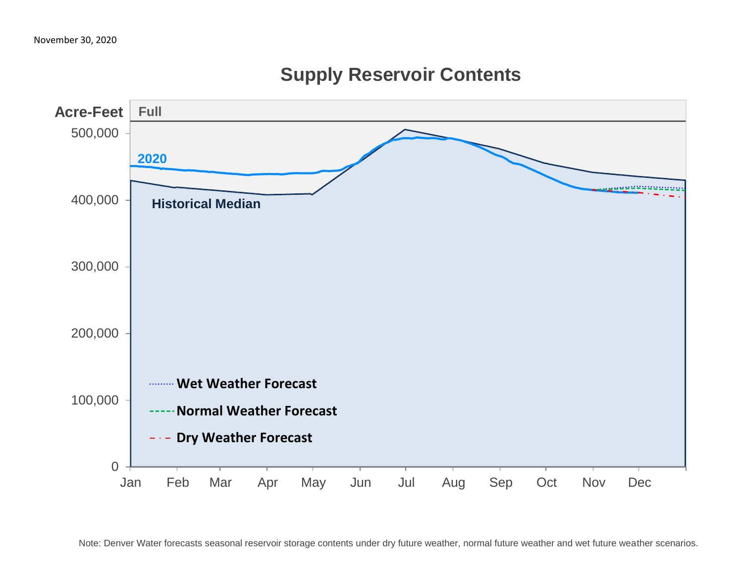

# **Supply Reservoir Contents**

Note: Denver Water forecasts seasonal reservoir storage contents under dry future weather, normal future weather and wet future weather scenarios.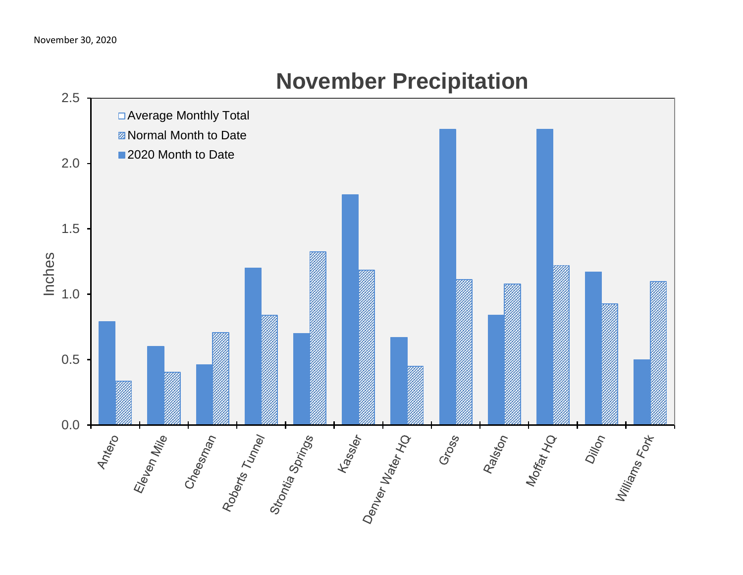

# **November Precipitation**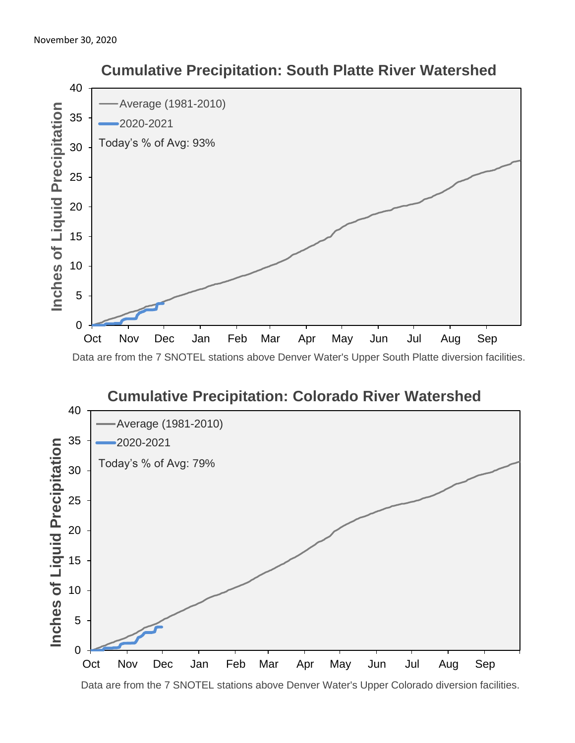



 **Cumulative Precipitation: South Platte River Watershed**

Data are from the 7 SNOTEL stations above Denver Water's Upper Colorado diversion facilities.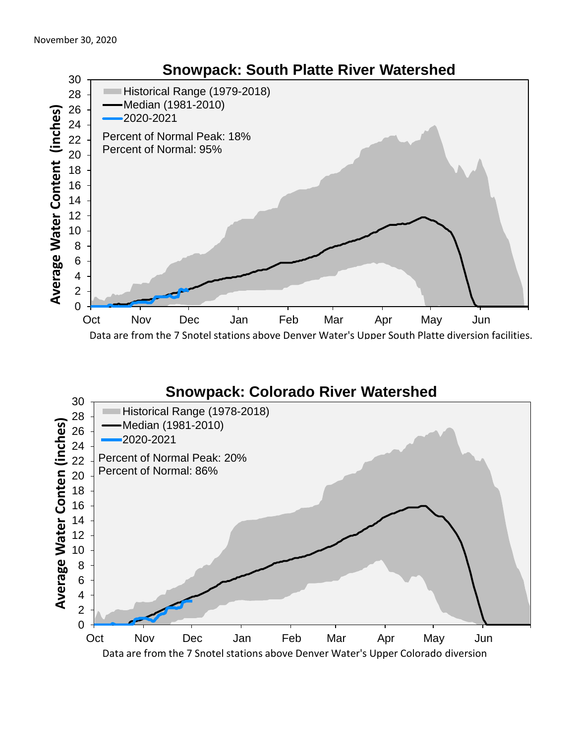

### **Snowpack: Colorado River Watershed**

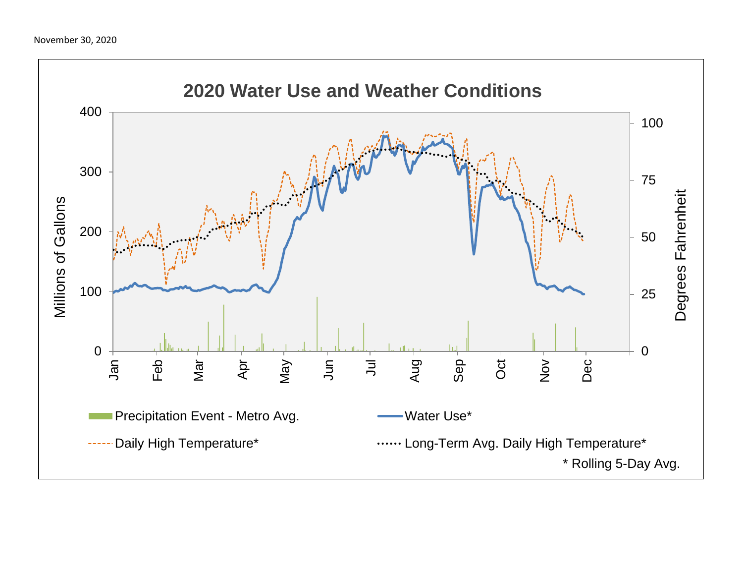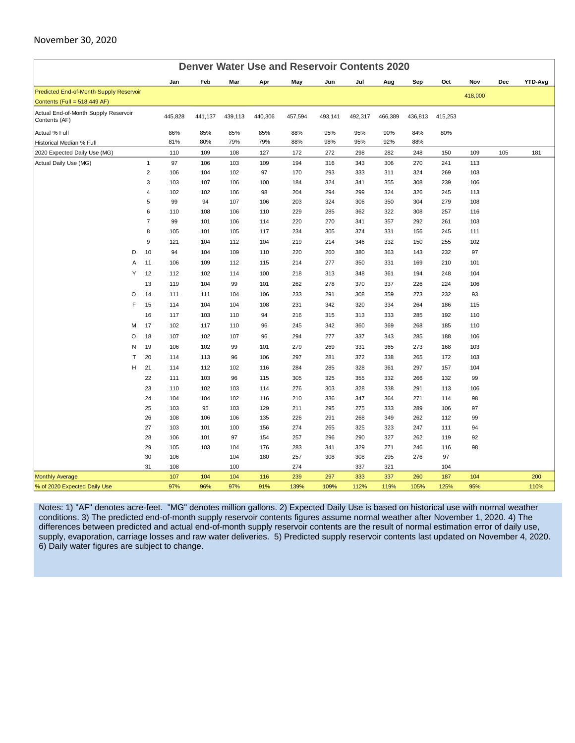#### November 30, 2020

| <b>Denver Water Use and Reservoir Contents 2020</b>   |                         |         |         |         |         |         |         |         |         |         |         |         |     |                |
|-------------------------------------------------------|-------------------------|---------|---------|---------|---------|---------|---------|---------|---------|---------|---------|---------|-----|----------------|
|                                                       |                         | Jan     | Feb     | Mar     | Apr     | May     | Jun     | Jul     | Aug     | Sep     | Oct     | Nov     | Dec | <b>YTD-Avg</b> |
| Predicted End-of-Month Supply Reservoir               |                         |         |         |         |         |         |         |         |         |         |         | 418,000 |     |                |
| Contents (Full = $518,449$ AF)                        |                         |         |         |         |         |         |         |         |         |         |         |         |     |                |
| Actual End-of-Month Supply Reservoir<br>Contents (AF) |                         | 445,828 | 441,137 | 439,113 | 440,306 | 457,594 | 493,141 | 492,317 | 466,389 | 436,813 | 415,253 |         |     |                |
| Actual % Full                                         |                         | 86%     | 85%     | 85%     | 85%     | 88%     | 95%     | 95%     | 90%     | 84%     | 80%     |         |     |                |
| Historical Median % Full                              |                         | 81%     | 80%     | 79%     | 79%     | 88%     | 98%     | 95%     | 92%     | 88%     |         |         |     |                |
| 2020 Expected Daily Use (MG)                          |                         | 110     | 109     | 108     | 127     | 172     | 272     | 298     | 282     | 248     | 150     | 109     | 105 | 181            |
| Actual Daily Use (MG)                                 | $\mathbf{1}$            | 97      | 106     | 103     | 109     | 194     | 316     | 343     | 306     | 270     | 241     | 113     |     |                |
|                                                       | $\overline{2}$          | 106     | 104     | 102     | 97      | 170     | 293     | 333     | 311     | 324     | 269     | 103     |     |                |
|                                                       | 3                       | 103     | 107     | 106     | 100     | 184     | 324     | 341     | 355     | 308     | 239     | 106     |     |                |
|                                                       | $\overline{\mathbf{4}}$ | 102     | 102     | 106     | 98      | 204     | 294     | 299     | 324     | 326     | 245     | 113     |     |                |
|                                                       | 5                       | 99      | 94      | 107     | 106     | 203     | 324     | 306     | 350     | 304     | 279     | 108     |     |                |
|                                                       | 6                       | 110     | 108     | 106     | 110     | 229     | 285     | 362     | 322     | 308     | 257     | 116     |     |                |
|                                                       | $\overline{7}$          | 99      | 101     | 106     | 114     | 220     | 270     | 341     | 357     | 292     | 261     | 103     |     |                |
|                                                       | 8                       | 105     | 101     | 105     | 117     | 234     | 305     | 374     | 331     | 156     | 245     | 111     |     |                |
|                                                       | 9                       | 121     | 104     | 112     | 104     | 219     | 214     | 346     | 332     | 150     | 255     | 102     |     |                |
| D                                                     | 10                      | 94      | 104     | 109     | 110     | 220     | 260     | 380     | 363     | 143     | 232     | 97      |     |                |
| Α                                                     | 11                      | 106     | 109     | 112     | 115     | 214     | 277     | 350     | 331     | 169     | 210     | 101     |     |                |
| Υ                                                     | 12                      | 112     | 102     | 114     | 100     | 218     | 313     | 348     | 361     | 194     | 248     | 104     |     |                |
|                                                       | 13                      | 119     | 104     | 99      | 101     | 262     | 278     | 370     | 337     | 226     | 224     | 106     |     |                |
| O                                                     | 14                      | 111     | 111     | 104     | 106     | 233     | 291     | 308     | 359     | 273     | 232     | 93      |     |                |
| F                                                     | 15                      | 114     | 104     | 104     | 108     | 231     | 342     | 320     | 334     | 264     | 186     | 115     |     |                |
|                                                       | 16                      | 117     | 103     | 110     | 94      | 216     | 315     | 313     | 333     | 285     | 192     | 110     |     |                |
| M                                                     | 17                      | 102     | 117     | 110     | 96      | 245     | 342     | 360     | 369     | 268     | 185     | 110     |     |                |
| $\circ$                                               | 18                      | 107     | 102     | 107     | 96      | 294     | 277     | 337     | 343     | 285     | 188     | 106     |     |                |
| N                                                     | 19                      | 106     | 102     | 99      | 101     | 279     | 269     | 331     | 365     | 273     | 168     | 103     |     |                |
| T                                                     | 20                      | 114     | 113     | 96      | 106     | 297     | 281     | 372     | 338     | 265     | 172     | 103     |     |                |
| H                                                     | 21                      | 114     | 112     | 102     | 116     | 284     | 285     | 328     | 361     | 297     | 157     | 104     |     |                |
|                                                       | 22                      | 111     | 103     | 96      | 115     | 305     | 325     | 355     | 332     | 266     | 132     | 99      |     |                |
|                                                       | 23                      | 110     | 102     | 103     | 114     | 276     | 303     | 328     | 338     | 291     | 113     | 106     |     |                |
|                                                       | 24                      | 104     | 104     | 102     | 116     | 210     | 336     | 347     | 364     | 271     | 114     | 98      |     |                |
|                                                       | 25                      | 103     | 95      | 103     | 129     | 211     | 295     | 275     | 333     | 289     | 106     | 97      |     |                |
|                                                       | 26                      | 108     | 106     | 106     | 135     | 226     | 291     | 268     | 349     | 262     | 112     | 99      |     |                |
|                                                       | 27                      | 103     | 101     | 100     | 156     | 274     | 265     | 325     | 323     | 247     | 111     | 94      |     |                |
|                                                       | 28                      | 106     | 101     | 97      | 154     | 257     | 296     | 290     | 327     | 262     | 119     | 92      |     |                |
|                                                       | 29                      | 105     | 103     | 104     | 176     | 283     | 341     | 329     | 271     | 246     | 116     | 98      |     |                |
|                                                       | 30                      | 106     |         | 104     | 180     | 257     | 308     | 308     | 295     | 276     | 97      |         |     |                |
|                                                       | 31                      | 108     |         | 100     |         | 274     |         | 337     | 321     |         | 104     |         |     |                |
| <b>Monthly Average</b>                                |                         | 107     | 104     | 104     | 116     | 239     | 297     | 333     | 337     | 260     | 187     | 104     |     | 200            |
| % of 2020 Expected Daily Use                          |                         | 97%     | 96%     | 97%     | 91%     | 139%    | 109%    | 112%    | 119%    | 105%    | 125%    | 95%     |     | 110%           |

Notes: 1) "AF" denotes acre-feet. "MG" denotes million gallons. 2) Expected Daily Use is based on historical use with normal weather conditions. 3) The predicted end-of-month supply reservoir contents figures assume normal weather after November 1, 2020. 4) The differences between predicted and actual end-of-month supply reservoir contents are the result of normal estimation error of daily use, supply, evaporation, carriage losses and raw water deliveries. 5) Predicted supply reservoir contents last updated on November 4, 2020. 6) Daily water figures are subject to change.